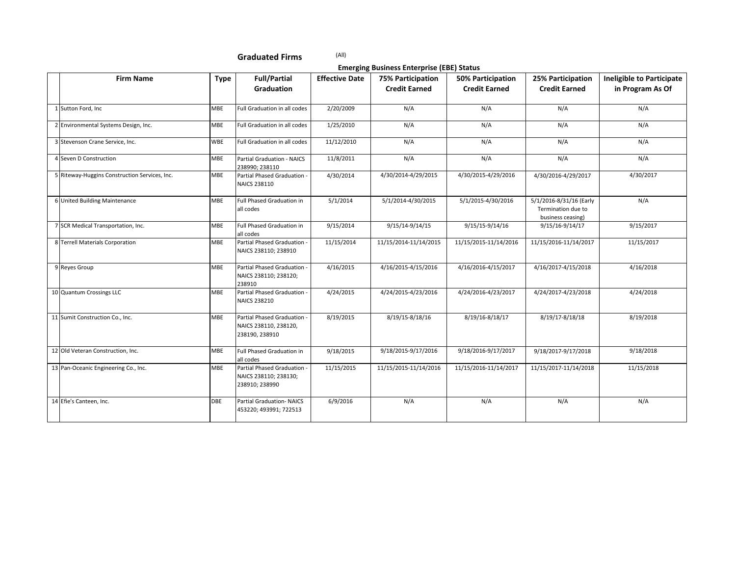**Emerging Business Enterprise (EBE) Status**

|                                               |             |                                                                        |                       | Ennerging Basiness Enterprise (EBE) Status       |                                           |                                                                    |                                                      |
|-----------------------------------------------|-------------|------------------------------------------------------------------------|-----------------------|--------------------------------------------------|-------------------------------------------|--------------------------------------------------------------------|------------------------------------------------------|
| <b>Firm Name</b>                              | <b>Type</b> | <b>Full/Partial</b><br><b>Graduation</b>                               | <b>Effective Date</b> | <b>75% Participation</b><br><b>Credit Earned</b> | 50% Participation<br><b>Credit Earned</b> | 25% Participation<br><b>Credit Earned</b>                          | <b>Ineligible to Participate</b><br>in Program As Of |
| 1 Sutton Ford, Inc                            | MBE         | Full Graduation in all codes                                           | 2/20/2009             | N/A                                              | N/A                                       | N/A                                                                | N/A                                                  |
| 2 Environmental Systems Design, Inc.          | MBE         | Full Graduation in all codes                                           | 1/25/2010             | N/A                                              | N/A                                       | N/A                                                                | N/A                                                  |
| 3 Stevenson Crane Service, Inc.               | WBE         | Full Graduation in all codes                                           | 11/12/2010            | N/A                                              | N/A                                       | N/A                                                                | N/A                                                  |
| 4 Seven D Construction                        | MBE         | Partial Graduation - NAICS<br>238990; 238110                           | 11/8/2011             | N/A                                              | N/A                                       | N/A                                                                | N/A                                                  |
| 5 Riteway-Huggins Construction Services, Inc. | MBE         | Partial Phased Graduation -<br>NAICS 238110                            | 4/30/2014             | 4/30/2014-4/29/2015                              | 4/30/2015-4/29/2016                       | 4/30/2016-4/29/2017                                                | 4/30/2017                                            |
| 6 United Building Maintenance                 | MBE         | Full Phased Graduation in<br>all codes                                 | 5/1/2014              | 5/1/2014-4/30/2015                               | 5/1/2015-4/30/2016                        | 5/1/2016-8/31/16 (Early<br>Termination due to<br>business ceasing) | N/A                                                  |
| 7 SCR Medical Transportation, Inc.            | MBE         | Full Phased Graduation in<br>all codes                                 | 9/15/2014             | 9/15/14-9/14/15                                  | 9/15/15-9/14/16                           | 9/15/16-9/14/17                                                    | 9/15/2017                                            |
| 8 Terrell Materials Corporation               | MBE         | Partial Phased Graduation<br>NAICS 238110; 238910                      | 11/15/2014            | 11/15/2014-11/14/2015                            | 11/15/2015-11/14/2016                     | 11/15/2016-11/14/2017                                              | 11/15/2017                                           |
| 9 Reyes Group                                 | MBE         | Partial Phased Graduation -<br>NAICS 238110; 238120;<br>238910         | 4/16/2015             | 4/16/2015-4/15/2016                              | 4/16/2016-4/15/2017                       | 4/16/2017-4/15/2018                                                | 4/16/2018                                            |
| 10 Quantum Crossings LLC                      | <b>MBE</b>  | Partial Phased Graduation<br>NAICS 238210                              | 4/24/2015             | 4/24/2015-4/23/2016                              | 4/24/2016-4/23/2017                       | 4/24/2017-4/23/2018                                                | 4/24/2018                                            |
| 11 Sumit Construction Co., Inc.               | MBE         | Partial Phased Graduation -<br>NAICS 238110, 238120,<br>238190, 238910 | 8/19/2015             | 8/19/15-8/18/16                                  | 8/19/16-8/18/17                           | 8/19/17-8/18/18                                                    | 8/19/2018                                            |
| 12 Old Veteran Construction, Inc.             | MBE         | Full Phased Graduation in<br>all codes                                 | 9/18/2015             | 9/18/2015-9/17/2016                              | 9/18/2016-9/17/2017                       | 9/18/2017-9/17/2018                                                | 9/18/2018                                            |
| 13 Pan-Oceanic Engineering Co., Inc.          | MBE         | Partial Phased Graduation -<br>NAICS 238110; 238130;<br>238910; 238990 | 11/15/2015            | 11/15/2015-11/14/2016                            | 11/15/2016-11/14/2017                     | 11/15/2017-11/14/2018                                              | 11/15/2018                                           |
| 14 Efie's Canteen, Inc.                       | DBE         | <b>Partial Graduation- NAICS</b><br>453220; 493991; 722513             | 6/9/2016              | N/A                                              | N/A                                       | N/A                                                                | N/A                                                  |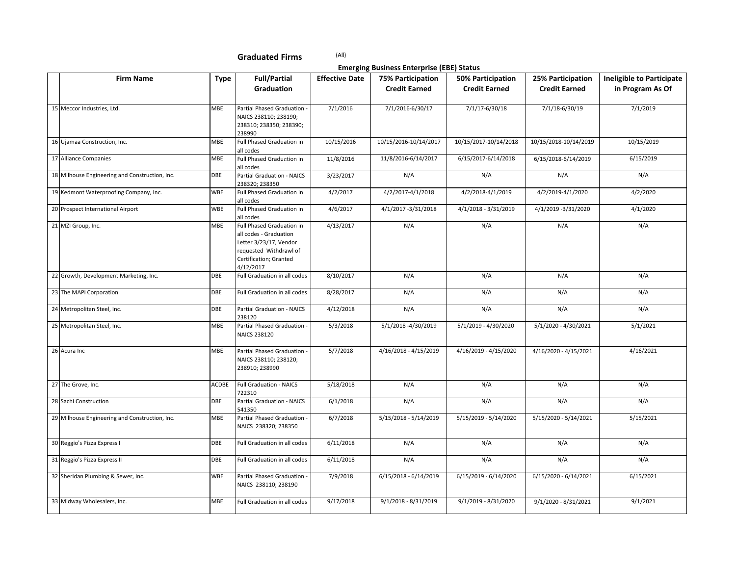**Emerging Business Enterprise (EBE) Status**

| <b>Firm Name</b>                               | <b>Type</b> | <b>Full/Partial</b>                                                                                                                            | <b>Effective Date</b> | <b>75% Participation</b> | 50% Participation     | 25% Participation     | <b>Ineligible to Participate</b> |
|------------------------------------------------|-------------|------------------------------------------------------------------------------------------------------------------------------------------------|-----------------------|--------------------------|-----------------------|-----------------------|----------------------------------|
|                                                |             | Graduation                                                                                                                                     |                       | <b>Credit Earned</b>     | <b>Credit Earned</b>  | <b>Credit Earned</b>  | in Program As Of                 |
|                                                |             |                                                                                                                                                |                       |                          |                       |                       |                                  |
| 15 Meccor Industries, Ltd.                     | MBE         | Partial Phased Graduation<br>NAICS 238110; 238190;<br>238310; 238350; 238390;<br>238990                                                        | 7/1/2016              | 7/1/2016-6/30/17         | 7/1/17-6/30/18        | 7/1/18-6/30/19        | 7/1/2019                         |
| 16 Ujamaa Construction, Inc.                   | MBE         | Full Phased Graduation in<br>all codes                                                                                                         | 10/15/2016            | 10/15/2016-10/14/2017    | 10/15/2017-10/14/2018 | 10/15/2018-10/14/2019 | 10/15/2019                       |
| 17 Alliance Companies                          | MBE         | Full Phased Graduation in<br>all codes                                                                                                         | 11/8/2016             | 11/8/2016-6/14/2017      | 6/15/2017-6/14/2018   | 6/15/2018-6/14/2019   | 6/15/2019                        |
| 18 Milhouse Engineering and Construction, Inc. | DBE         | Partial Graduation - NAICS<br>238320; 238350                                                                                                   | 3/23/2017             | N/A                      | N/A                   | N/A                   | N/A                              |
| 19 Kedmont Waterproofing Company, Inc.         | <b>WBE</b>  | Full Phased Graduation in<br>all codes                                                                                                         | 4/2/2017              | 4/2/2017-4/1/2018        | 4/2/2018-4/1/2019     | 4/2/2019-4/1/2020     | 4/2/2020                         |
| 20 Prospect International Airport              | <b>WBE</b>  | Full Phased Graduation in<br>all codes                                                                                                         | 4/6/2017              | 4/1/2017 -3/31/2018      | 4/1/2018 - 3/31/2019  | 4/1/2019 -3/31/2020   | 4/1/2020                         |
| 21 MZI Group, Inc.                             | MBE         | Full Phased Graduation in<br>all codes - Graduation<br>Letter 3/23/17, Vendor<br>requested Withdrawl of<br>Certification; Granted<br>4/12/2017 | 4/13/2017             | N/A                      | N/A                   | N/A                   | N/A                              |
| 22 Growth, Development Marketing, Inc.         | DBE         | Full Graduation in all codes                                                                                                                   | 8/10/2017             | N/A                      | N/A                   | N/A                   | N/A                              |
| 23 The MAPI Corporation                        | DBE         | Full Graduation in all codes                                                                                                                   | 8/28/2017             | N/A                      | N/A                   | N/A                   | N/A                              |
| 24 Metropolitan Steel, Inc.                    | DBE         | Partial Graduation - NAICS<br>238120                                                                                                           | 4/12/2018             | N/A                      | N/A                   | N/A                   | N/A                              |
| 25 Metropolitan Steel, Inc.                    | MBE         | Partial Phased Graduation -<br><b>NAICS 238120</b>                                                                                             | 5/3/2018              | 5/1/2018 -4/30/2019      | 5/1/2019 - 4/30/2020  | 5/1/2020 - 4/30/2021  | 5/1/2021                         |
| 26 Acura Inc                                   | MBE         | Partial Phased Graduation<br>NAICS 238110; 238120;<br>238910; 238990                                                                           | 5/7/2018              | 4/16/2018 - 4/15/2019    | 4/16/2019 - 4/15/2020 | 4/16/2020 - 4/15/2021 | 4/16/2021                        |
| 27 The Grove, Inc.                             | ACDBE       | Full Graduation - NAICS<br>722310                                                                                                              | 5/18/2018             | N/A                      | N/A                   | N/A                   | N/A                              |
| 28 Sachi Construction                          | DBE         | Partial Graduation - NAICS<br>541350                                                                                                           | 6/1/2018              | N/A                      | N/A                   | N/A                   | N/A                              |
| 29 Milhouse Engineering and Construction, Inc. | MBE         | Partial Phased Graduation -<br>NAICS 238320; 238350                                                                                            | 6/7/2018              | 5/15/2018 - 5/14/2019    | 5/15/2019 - 5/14/2020 | 5/15/2020 - 5/14/2021 | 5/15/2021                        |
| 30 Reggio's Pizza Express I                    | DBE         | Full Graduation in all codes                                                                                                                   | 6/11/2018             | N/A                      | N/A                   | N/A                   | N/A                              |
| 31 Reggio's Pizza Express II                   | DBE         | Full Graduation in all codes                                                                                                                   | 6/11/2018             | N/A                      | N/A                   | N/A                   | N/A                              |
| 32 Sheridan Plumbing & Sewer, Inc.             | WBE         | Partial Phased Graduation -<br>NAICS 238110; 238190                                                                                            | 7/9/2018              | 6/15/2018 - 6/14/2019    | 6/15/2019 - 6/14/2020 | 6/15/2020 - 6/14/2021 | 6/15/2021                        |
| 33 Midway Wholesalers, Inc.                    | MBE         | Full Graduation in all codes                                                                                                                   | 9/17/2018             | $9/1/2018 - 8/31/2019$   | 9/1/2019 - 8/31/2020  | 9/1/2020 - 8/31/2021  | 9/1/2021                         |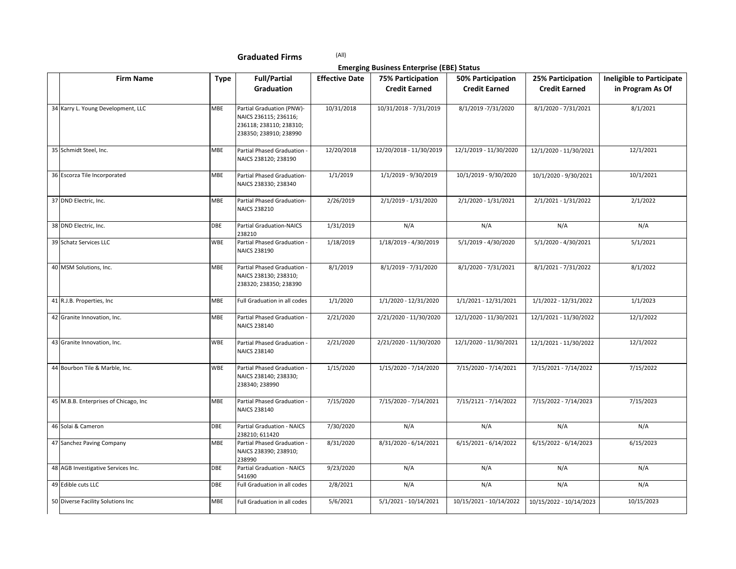**Emerging Business Enterprise (EBE) Status**

| <b>Firm Name</b>                      | <b>Type</b> | <b>Full/Partial</b>                                                                                     | <b>Effective Date</b> | Ennerging Dasmess Enterprise (EDE) Status<br><b>75% Participation</b> | <b>50% Participation</b> | 25% Participation       | <b>Ineligible to Participate</b> |
|---------------------------------------|-------------|---------------------------------------------------------------------------------------------------------|-----------------------|-----------------------------------------------------------------------|--------------------------|-------------------------|----------------------------------|
|                                       |             | Graduation                                                                                              |                       | <b>Credit Earned</b>                                                  | <b>Credit Earned</b>     | <b>Credit Earned</b>    | in Program As Of                 |
|                                       |             |                                                                                                         |                       |                                                                       |                          |                         |                                  |
| 34 Karry L. Young Development, LLC    | MBE         | Partial Graduation (PNW)-<br>NAICS 236115; 236116;<br>236118; 238110; 238310;<br>238350; 238910; 238990 | 10/31/2018            | 10/31/2018 - 7/31/2019                                                | 8/1/2019 - 7/31/2020     | 8/1/2020 - 7/31/2021    | 8/1/2021                         |
| 35 Schmidt Steel, Inc.                | MBE         | Partial Phased Graduation -<br>NAICS 238120; 238190                                                     | 12/20/2018            | 12/20/2018 - 11/30/2019                                               | 12/1/2019 - 11/30/2020   | 12/1/2020 - 11/30/2021  | 12/1/2021                        |
| 36 Escorza Tile Incorporated          | MBE         | Partial Phased Graduation-<br>NAICS 238330; 238340                                                      | 1/1/2019              | 1/1/2019 - 9/30/2019                                                  | 10/1/2019 - 9/30/2020    | 10/1/2020 - 9/30/2021   | 10/1/2021                        |
| 37 DND Electric, Inc.                 | MBE         | Partial Phased Graduation-<br><b>NAICS 238210</b>                                                       | 2/26/2019             | 2/1/2019 - 1/31/2020                                                  | 2/1/2020 - 1/31/2021     | 2/1/2021 - 1/31/2022    | 2/1/2022                         |
| 38 DND Electric, Inc.                 | DBE         | Partial Graduation-NAICS<br>238210                                                                      | 1/31/2019             | N/A                                                                   | N/A                      | N/A                     | N/A                              |
| 39 Schatz Services LLC                | WBE         | Partial Phased Graduation -<br>NAICS 238190                                                             | 1/18/2019             | 1/18/2019 - 4/30/2019                                                 | 5/1/2019 - 4/30/2020     | 5/1/2020 - 4/30/2021    | 5/1/2021                         |
| 40 MSM Solutions, Inc.                | MBE         | Partial Phased Graduation -<br>NAICS 238130; 238310;<br>238320; 238350; 238390                          | 8/1/2019              | 8/1/2019 - 7/31/2020                                                  | 8/1/2020 - 7/31/2021     | 8/1/2021 - 7/31/2022    | 8/1/2022                         |
| 41 R.J.B. Properties, Inc.            | MBE         | Full Graduation in all codes                                                                            | 1/1/2020              | 1/1/2020 - 12/31/2020                                                 | 1/1/2021 - 12/31/2021    | 1/1/2022 - 12/31/2022   | 1/1/2023                         |
| 42 Granite Innovation, Inc.           | MBE         | Partial Phased Graduation -<br><b>NAICS 238140</b>                                                      | 2/21/2020             | 2/21/2020 - 11/30/2020                                                | 12/1/2020 - 11/30/2021   | 12/1/2021 - 11/30/2022  | 12/1/2022                        |
| 43 Granite Innovation, Inc.           | WBE         | Partial Phased Graduation -<br><b>NAICS 238140</b>                                                      | 2/21/2020             | 2/21/2020 - 11/30/2020                                                | 12/1/2020 - 11/30/2021   | 12/1/2021 - 11/30/2022  | 12/1/2022                        |
| 44 Bourbon Tile & Marble, Inc.        | WBE         | Partial Phased Graduation -<br>NAICS 238140; 238330;<br>238340; 238990                                  | 1/15/2020             | 1/15/2020 - 7/14/2020                                                 | 7/15/2020 - 7/14/2021    | 7/15/2021 - 7/14/2022   | 7/15/2022                        |
| 45 M.B.B. Enterprises of Chicago, Inc | MBE         | Partial Phased Graduation -<br><b>NAICS 238140</b>                                                      | 7/15/2020             | 7/15/2020 - 7/14/2021                                                 | 7/15/2121 - 7/14/2022    | 7/15/2022 - 7/14/2023   | 7/15/2023                        |
| 46 Solai & Cameron                    | DBE         | Partial Graduation - NAICS<br>238210; 611420                                                            | 7/30/2020             | N/A                                                                   | N/A                      | N/A                     | N/A                              |
| 47 Sanchez Paving Company             | MBE         | Partial Phased Graduation -<br>NAICS 238390; 238910;<br>238990                                          | 8/31/2020             | 8/31/2020 - 6/14/2021                                                 | $6/15/2021 - 6/14/2022$  | 6/15/2022 - 6/14/2023   | 6/15/2023                        |
| 48 AGB Investigative Services Inc.    | DBE         | Partial Graduation - NAICS<br>541690                                                                    | 9/23/2020             | N/A                                                                   | N/A                      | N/A                     | N/A                              |
| 49 Edible cuts LLC                    | DBE         | Full Graduation in all codes                                                                            | 2/8/2021              | N/A                                                                   | N/A                      | N/A                     | N/A                              |
| 50 Diverse Facility Solutions Inc     | MBE         | Full Graduation in all codes                                                                            | 5/6/2021              | 5/1/2021 - 10/14/2021                                                 | 10/15/2021 - 10/14/2022  | 10/15/2022 - 10/14/2023 | 10/15/2023                       |